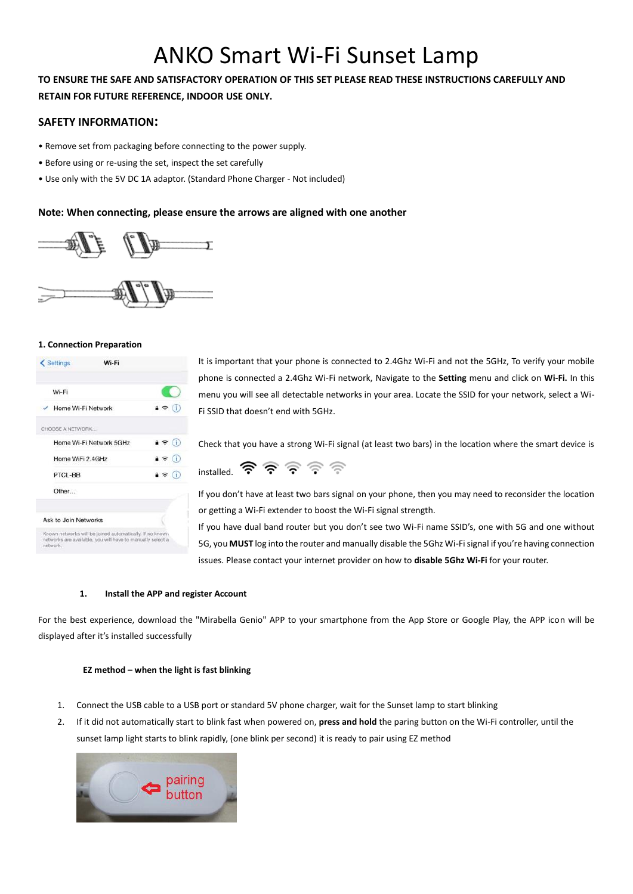# ANKO Smart Wi-Fi Sunset Lamp

# **TO ENSURE THE SAFE AND SATISFACTORY OPERATION OF THIS SET PLEASE READ THESE INSTRUCTIONS CAREFULLY AND RETAIN FOR FUTURE REFERENCE, INDOOR USE ONLY.**

# **SAFETY INFORMATION:**

- Remove set from packaging before connecting to the power supply.
- Before using or re-using the set, inspect the set carefully
- Use only with the 5V DC 1A adaptor. (Standard Phone Charger Not included)

# **Note: When connecting, please ensure the arrows are aligned with one another**



## **1. Connection Preparation**

| Wi-Fi                   |                     |
|-------------------------|---------------------|
| Home Wi-Fi Network      | $a \in (i)$         |
| CHOOSE A NETWORK        |                     |
| Home Wi-Fi Network 5GHz | $4 \hat{ }$ (i)     |
| Home WiFi 2.4GHz        | $\bullet \circ$ (i) |
| PTCL-BB                 | $9 \hat{r}$ (i)     |
| Other                   |                     |
| Ask to Join Networks    |                     |

It is important that your phone is connected to 2.4Ghz Wi-Fi and not the 5GHz, To verify your mobile phone is connected a 2.4Ghz Wi-Fi network, Navigate to the **Setting** menu and click on **Wi-Fi.** In this menu you will see all detectable networks in your area. Locate the SSID for your network, select a Wi-Fi SSID that doesn't end with 5GHz.

Check that you have a strong Wi-Fi signal (at least two bars) in the location where the smart device is



If you don't have at least two bars signal on your phone, then you may need to reconsider the location or getting a Wi-Fi extender to boost the Wi-Fi signal strength.

If you have dual band router but you don't see two Wi-Fi name SSID's, one with 5G and one without 5G, you **MUST** log into the router and manually disable the 5Ghz Wi-Fi signal if you're having connection issues. Please contact your internet provider on how to **disable 5Ghz Wi-Fi** for your router.

## **1. Install the APP and register Account**

For the best experience, download the "Mirabella Genio" APP to your smartphone from the App Store or Google Play, the APP icon will be displayed after it's installed successfully

## **EZ method – when the light is fast blinking**

- 1. Connect the USB cable to a USB port or standard 5V phone charger, wait for the Sunset lamp to start blinking
- 2. If it did not automatically start to blink fast when powered on, **press and hold** the paring button on the Wi-Fi controller, until the sunset lamp light starts to blink rapidly, (one blink per second) it is ready to pair using EZ method

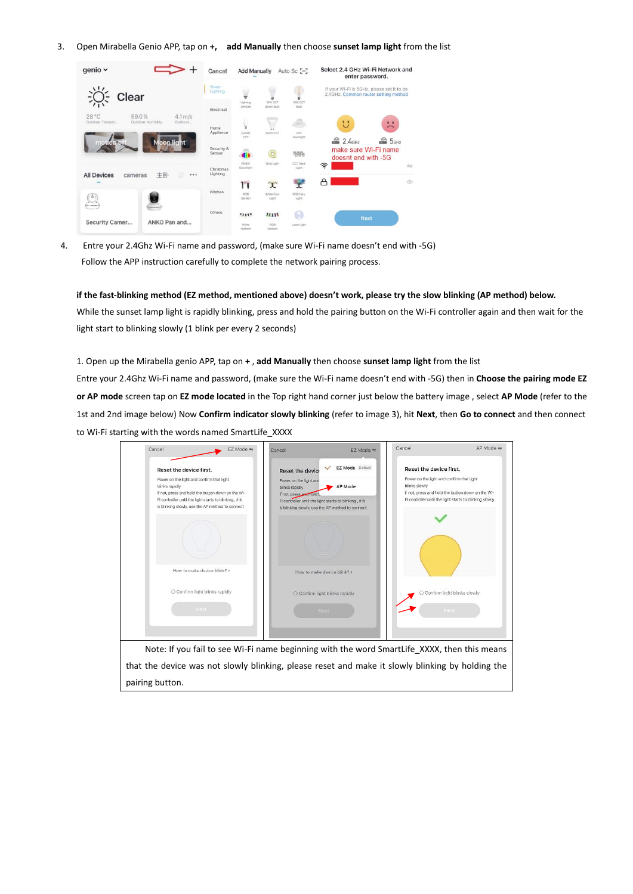3. Open Mirabella Genio APP, tap on **+, add Manually** then choose **sunset lamp light** from the list



4. Entre your 2.4Ghz Wi-Fi name and password, (make sure Wi-Fi name doesn't end with -5G) Follow the APP instruction carefully to complete the network pairing process.

**if the fast-blinking method (EZ method, mentioned above) doesn't work, please try the slow blinking (AP method) below.** While the sunset lamp light is rapidly blinking, press and hold the pairing button on the Wi-Fi controller again and then wait for the light start to blinking slowly (1 blink per every 2 seconds)

#### 1. Open up the Mirabella genio APP, tap on **+** , **add Manually** then choose **sunset lamp light** from the list

Entre your 2.4Ghz Wi-Fi name and password, (make sure the Wi-Fi name doesn't end with -5G) then in **Choose the pairing mode EZ or AP mode** screen tap on **EZ mode located** in the Top right hand corner just below the battery image , select **AP Mode** (refer to the 1st and 2nd image below) Now **Confirm indicator slowly blinking** (refer to image 3), hit **Next**, then **Go to connect** and then connect to Wi-Fi starting with the words named SmartLife\_XXXX

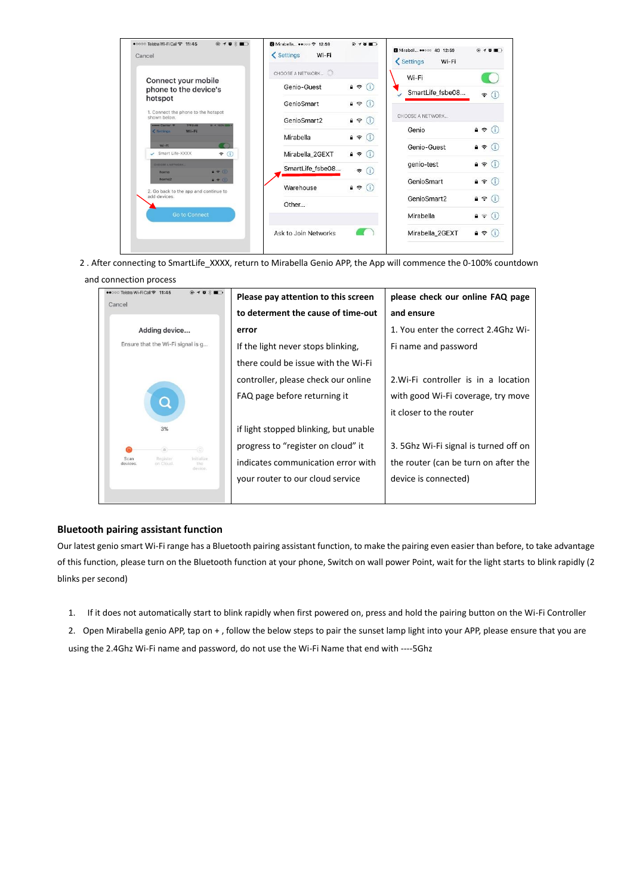| $Q \rightarrow B \times D$<br>●0000 Telstra Wi-Fi Call <a> 11:45<br/>Cancel</a>       | <b>3</b> Mirabella ●●□○□ 令 12:59<br>< Settings<br>Wi-Fi | $+ 0$                                 | Mirabell  4G 12:59<br>< Settings<br>Wi-Fi | $\oplus$ $\rightarrow$ $\oplus$ $\blacksquare$ |
|---------------------------------------------------------------------------------------|---------------------------------------------------------|---------------------------------------|-------------------------------------------|------------------------------------------------|
|                                                                                       | CHOOSE A NETWORK                                        |                                       | Wi-Fi                                     |                                                |
| Connect your mobile                                                                   | Genio-Guest                                             | $A \in (i)$                           |                                           |                                                |
| phone to the device's                                                                 |                                                         |                                       | SmartLife_fsbe08                          | ė,<br>Œ.                                       |
| hotspot                                                                               | GenioSmart                                              | $\mathbf{a} \in (i)$                  |                                           |                                                |
| 1. Connect the phone to the hotspot<br>shown below.                                   | GenioSmart2                                             | $a \in (i)$                           | CHOOSE A NETWORK                          |                                                |
| <b>F4245</b><br><b>Here Carrier P</b><br>8 - 100% ROM<br>$Wi-Fi$<br><b>C</b> Settings |                                                         |                                       | Genio                                     | $a \in (i)$                                    |
| $W_i$ -Fi                                                                             | Mirabella                                               | $\hat{\mathbf{r}}$<br>G.              | Genio-Guest                               | $a \in (i)$                                    |
| Smart Life-XXXX<br>$\epsilon$ 0                                                       | Mirabella_2GEXT                                         | $A \approx$                           |                                           |                                                |
| <b>CHOOSE A NETWORK</b><br>$P = 0$<br>home                                            | SmartLife_fsbe08                                        | $\widehat{\tau}$<br>$\left( i\right)$ | genio-test                                | $a \in (i)$                                    |
| $4 \cdot 1$<br>home2                                                                  |                                                         |                                       | GenioSmart                                | $a \in (i)$                                    |
| 2. Go back to the app and continue to<br>add devices.                                 | Warehouse                                               | $\hat{a} \in (i)$                     | GenioSmart2                               | Œ<br>$\mathbf{a}$ $\mathbf{\hat{z}}$           |
|                                                                                       | Other                                                   |                                       |                                           |                                                |
| <b>Go to Connect</b>                                                                  |                                                         |                                       | Mirabella                                 | $\hat{p} \in (i)$                              |
|                                                                                       | Ask to Join Networks                                    |                                       | Mirabella_2GEXT                           | $a \in (i$                                     |

2 . After connecting to SmartLife\_XXXX, return to Mirabella Genio APP, the App will commence the 0-100% countdown

#### and connection process

| ●●○○○ Telstra Wi-Fi Call <a> 11:45<br/><math>0.10 \times 1</math><br/>Cancel</a> | Please pay attention to this screen   | please check our online FAQ page      |
|----------------------------------------------------------------------------------|---------------------------------------|---------------------------------------|
|                                                                                  | to determent the cause of time-out    | and ensure                            |
| Adding device                                                                    | error                                 | 1. You enter the correct 2.4Ghz Wi-   |
| Ensure that the Wi-Fi signal is g                                                | If the light never stops blinking,    | Fi name and password                  |
|                                                                                  | there could be issue with the Wi-Fi   |                                       |
|                                                                                  | controller, please check our online   | 2. Wi-Fi controller is in a location  |
| $\bullet$                                                                        | FAQ page before returning it          | with good Wi-Fi coverage, try move    |
|                                                                                  |                                       | it closer to the router               |
| 3%                                                                               | if light stopped blinking, but unable |                                       |
| 6)<br>$\Theta$                                                                   | progress to "register on cloud" it    | 3. 5Ghz Wi-Fi signal is turned off on |
| Scan<br>Register<br><b>Initialize</b><br>devices.<br>on Cloud.<br>the<br>device  | indicates communication error with    | the router (can be turn on after the  |
|                                                                                  | your router to our cloud service      | device is connected)                  |
|                                                                                  |                                       |                                       |

## **Bluetooth pairing assistant function**

Our latest genio smart Wi-Fi range has a Bluetooth pairing assistant function, to make the pairing even easier than before, to take advantage of this function, please turn on the Bluetooth function at your phone, Switch on wall power Point, wait for the light starts to blink rapidly (2 blinks per second)

1. If it does not automatically start to blink rapidly when first powered on, press and hold the pairing button on the Wi-Fi Controller

2. Open Mirabella genio APP, tap on + , follow the below steps to pair the sunset lamp light into your APP, please ensure that you are using the 2.4Ghz Wi-Fi name and password, do not use the Wi-Fi Name that end with ----5Ghz